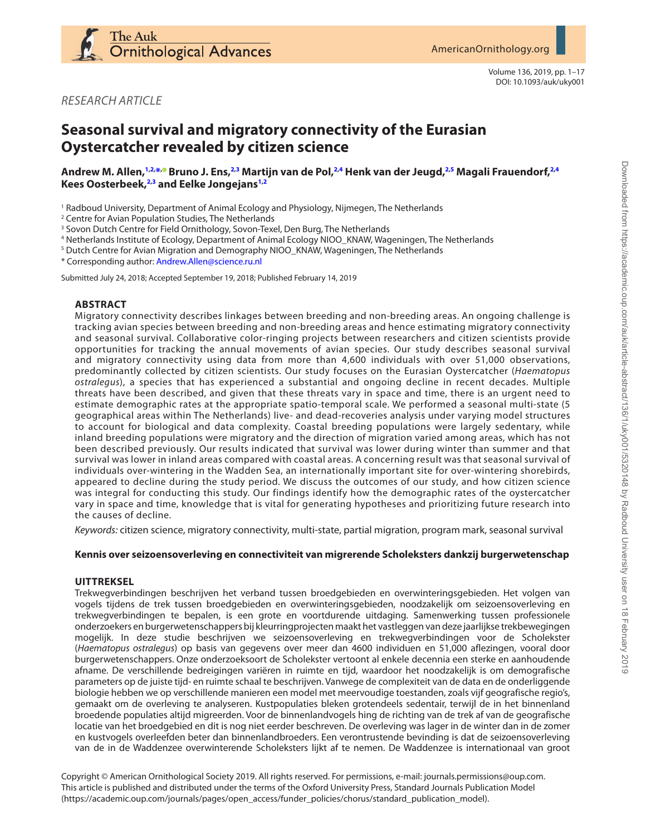

*RESEARCH ARTICLE*

# **Seasonal survival and migratory connectivity of the Eurasian Oystercatcher revealed by citizen science**

Andrew M. Allen,<sup>[1](#page-0-0)[,2,](#page-0-1)[\\*](#page-0-2)[,](http://orcid.org/0000-0002-0119-2425)®</sup> Bruno J. Ens,<sup>[2](#page-0-1),[3](#page-0-3)</sup> Martijn van de Pol,<sup>2,[4](#page-0-4)</sup> Henk van der Jeugd,<sup>[2,](#page-0-1)[5](#page-0-5)</sup> Magali Frauendorf,<sup>2,4</sup> **Kees Oosterbeek, [2](#page-0-1)[,3](#page-0-3) and Eelke Jongejans[1](#page-0-0),[2](#page-0-1)**

<span id="page-0-0"></span>1 Radboud University, Department of Animal Ecology and Physiology, Nijmegen, The Netherlands

<span id="page-0-1"></span>2 Centre for Avian Population Studies, The Netherlands

<span id="page-0-3"></span><sup>3</sup> Sovon Dutch Centre for Field Ornithology, Sovon-Texel, Den Burg, The Netherlands

<span id="page-0-4"></span>4 Netherlands Institute of Ecology, Department of Animal Ecology NIOO\_KNAW, Wageningen, The Netherlands

<span id="page-0-5"></span><sup>5</sup> Dutch Centre for Avian Migration and Demography NIOO\_KNAW, Wageningen, The Netherlands

<span id="page-0-2"></span>\* Corresponding author: [Andrew.Allen@science.ru.nl](mailto:Andrew.Allen@science.ru.nl?subject=)

Submitted July 24, 2018; Accepted September 19, 2018; Published February 14, 2019

# **ABSTRACT**

Migratory connectivity describes linkages between breeding and non-breeding areas. An ongoing challenge is tracking avian species between breeding and non-breeding areas and hence estimating migratory connectivity and seasonal survival. Collaborative color-ringing projects between researchers and citizen scientists provide opportunities for tracking the annual movements of avian species. Our study describes seasonal survival and migratory connectivity using data from more than 4,600 individuals with over 51,000 observations, predominantly collected by citizen scientists. Our study focuses on the Eurasian Oystercatcher (*Haematopus ostralegus*), a species that has experienced a substantial and ongoing decline in recent decades. Multiple threats have been described, and given that these threats vary in space and time, there is an urgent need to estimate demographic rates at the appropriate spatio-temporal scale. We performed a seasonal multi-state (5 geographical areas within The Netherlands) live- and dead-recoveries analysis under varying model structures to account for biological and data complexity. Coastal breeding populations were largely sedentary, while inland breeding populations were migratory and the direction of migration varied among areas, which has not been described previously. Our results indicated that survival was lower during winter than summer and that survival was lower in inland areas compared with coastal areas. A concerning result was that seasonal survival of individuals over-wintering in the Wadden Sea, an internationally important site for over-wintering shorebirds, appeared to decline during the study period. We discuss the outcomes of our study, and how citizen science was integral for conducting this study. Our findings identify how the demographic rates of the oystercatcher vary in space and time, knowledge that is vital for generating hypotheses and prioritizing future research into the causes of decline.

*Keywords:* citizen science, migratory connectivity, multi-state, partial migration, program mark, seasonal survival

## **Kennis over seizoensoverleving en connectiviteit van migrerende Scholeksters dankzij burgerwetenschap**

# **UITTREKSEL**

Trekwegverbindingen beschrijven het verband tussen broedgebieden en overwinteringsgebieden. Het volgen van vogels tijdens de trek tussen broedgebieden en overwinteringsgebieden, noodzakelijk om seizoensoverleving en trekwegverbindingen te bepalen, is een grote en voortdurende uitdaging. Samenwerking tussen professionele onderzoekers en burgerwetenschappers bij kleurringprojecten maakt het vastleggen van deze jaarlijkse trekbewegingen mogelijk. In deze studie beschrijven we seizoensoverleving en trekwegverbindingen voor de Scholekster (*Haematopus ostralegus*) op basis van gegevens over meer dan 4600 individuen en 51,000 aflezingen, vooral door burgerwetenschappers. Onze onderzoeksoort de Scholekster vertoont al enkele decennia een sterke en aanhoudende afname. De verschillende bedreigingen variëren in ruimte en tijd, waardoor het noodzakelijk is om demografische parameters op de juiste tijd- en ruimte schaal te beschrijven. Vanwege de complexiteit van de data en de onderliggende biologie hebben we op verschillende manieren een model met meervoudige toestanden, zoals vijf geografische regio's, gemaakt om de overleving te analyseren. Kustpopulaties bleken grotendeels sedentair, terwijl de in het binnenland broedende populaties altijd migreerden. Voor de binnenlandvogels hing de richting van de trek af van de geografische locatie van het broedgebied en dit is nog niet eerder beschreven. De overleving was lager in de winter dan in de zomer en kustvogels overleefden beter dan binnenlandbroeders. Een verontrustende bevinding is dat de seizoensoverleving van de in de Waddenzee overwinterende Scholeksters lijkt af te nemen. De Waddenzee is internationaal van groot

Copyright © American Ornithological Society 2019. All rights reserved. For permissions, e-mail: journals.permissions@oup.com. This article is published and distributed under the terms of the Oxford University Press, Standard Journals Publication Model (https://academic.oup.com/journals/pages/open\_access/funder\_policies/chorus/standard\_publication\_model).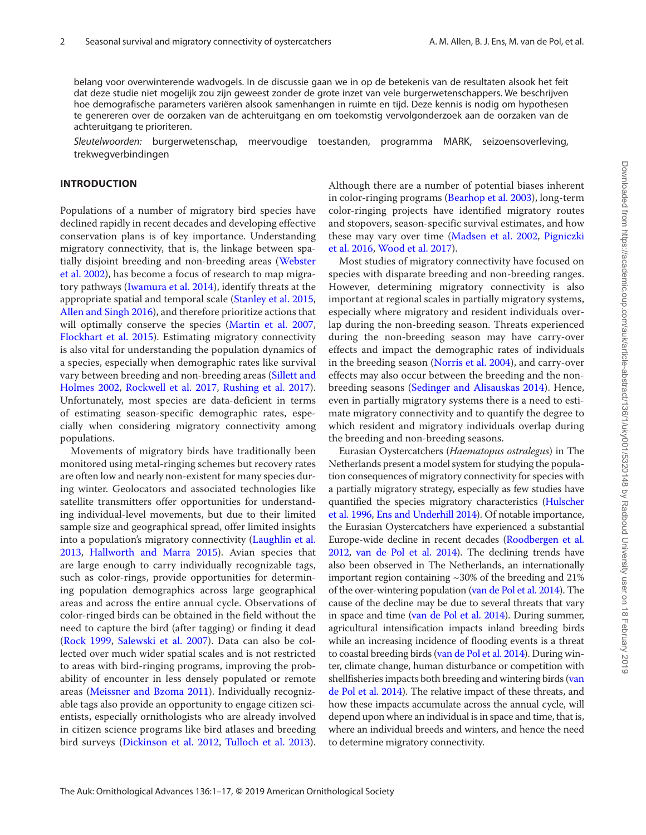belang voor overwinterende wadvogels. In de discussie gaan we in op de betekenis van de resultaten alsook het feit dat deze studie niet mogelijk zou zijn geweest zonder de grote inzet van vele burgerwetenschappers. We beschrijven hoe demografische parameters variëren alsook samenhangen in ruimte en tijd. Deze kennis is nodig om hypothesen te genereren over de oorzaken van de achteruitgang en om toekomstig vervolgonderzoek aan de oorzaken van de achteruitgang te prioriteren.

*Sleutelwoorden:* burgerwetenschap, meervoudige toestanden, programma MARK, seizoensoverleving, trekwegverbindingen

#### **INTRODUCTION**

Populations of a number of migratory bird species have declined rapidly in recent decades and developing effective conservation plans is of key importance. Understanding migratory connectivity, that is, the linkage between spatially disjoint breeding and non-breeding areas ([Webster](#page-14-0)  [et al. 2002](#page-14-0)), has become a focus of research to map migratory pathways ([Iwamura et al. 2014](#page-13-0)), identify threats at the appropriate spatial and temporal scale ([Stanley et al. 2015](#page-14-1), [Allen and Singh 2016\)](#page-12-0), and therefore prioritize actions that will optimally conserve the species [\(Martin et al. 2007](#page-13-1), [Flockhart et al. 2015](#page-13-2)). Estimating migratory connectivity is also vital for understanding the population dynamics of a species, especially when demographic rates like survival vary between breeding and non-breeding areas ([Sillett and](#page-14-2)  [Holmes 2002](#page-14-2), [Rockwell et al. 2017,](#page-14-3) [Rushing et al. 2017\)](#page-14-4). Unfortunately, most species are data-deficient in terms of estimating season-specific demographic rates, especially when considering migratory connectivity among populations.

Movements of migratory birds have traditionally been monitored using metal-ringing schemes but recovery rates are often low and nearly non-existent for many species during winter. Geolocators and associated technologies like satellite transmitters offer opportunities for understanding individual-level movements, but due to their limited sample size and geographical spread, offer limited insights into a population's migratory connectivity [\(Laughlin et al.](#page-13-3)  [2013](#page-13-3), [Hallworth and Marra 2015](#page-13-4)). Avian species that are large enough to carry individually recognizable tags, such as color-rings, provide opportunities for determining population demographics across large geographical areas and across the entire annual cycle. Observations of color-ringed birds can be obtained in the field without the need to capture the bird (after tagging) or finding it dead [\(Rock 1999](#page-14-5), [Salewski et al. 2007\)](#page-14-6). Data can also be collected over much wider spatial scales and is not restricted to areas with bird-ringing programs, improving the probability of encounter in less densely populated or remote areas [\(Meissner and Bzoma 2011\)](#page-13-5). Individually recognizable tags also provide an opportunity to engage citizen scientists, especially ornithologists who are already involved in citizen science programs like bird atlases and breeding bird surveys [\(Dickinson et al. 2012,](#page-13-6) [Tulloch et al. 2013\)](#page-14-7).

Although there are a number of potential biases inherent in color-ringing programs ([Bearhop et al. 2003](#page-12-1)), long-term color-ringing projects have identified migratory routes and stopovers, season-specific survival estimates, and how these may vary over time ([Madsen et al. 2002,](#page-13-7) [Pigniczki](#page-14-8)  [et al. 2016,](#page-14-8) [Wood et al. 2017](#page-14-9)).

Most studies of migratory connectivity have focused on species with disparate breeding and non-breeding ranges. However, determining migratory connectivity is also important at regional scales in partially migratory systems, especially where migratory and resident individuals overlap during the non-breeding season. Threats experienced during the non-breeding season may have carry-over effects and impact the demographic rates of individuals in the breeding season [\(Norris et al. 2004\)](#page-14-10), and carry-over effects may also occur between the breeding and the nonbreeding seasons [\(Sedinger and Alisauskas 2014](#page-14-11)). Hence, even in partially migratory systems there is a need to estimate migratory connectivity and to quantify the degree to which resident and migratory individuals overlap during the breeding and non-breeding seasons.

Eurasian Oystercatchers (*Haematopus ostralegus*) in The Netherlands present a model system for studying the population consequences of migratory connectivity for species with a partially migratory strategy, especially as few studies have quantified the species migratory characteristics [\(Hulscher](#page-13-8)  [et al. 1996](#page-13-8), [Ens and Underhill 2014\)](#page-13-9). Of notable importance, the Eurasian Oystercatchers have experienced a substantial Europe-wide decline in recent decades [\(Roodbergen et al.](#page-14-12) [2012,](#page-14-12) [van de Pol et al. 2014](#page-14-13)). The declining trends have also been observed in The Netherlands, an internationally important region containing  $\sim$ 30% of the breeding and 21% of the over-wintering population [\(van de Pol et al. 2014](#page-14-13)). The cause of the decline may be due to several threats that vary in space and time [\(van de Pol et al. 2014\)](#page-14-13). During summer, agricultural intensification impacts inland breeding birds while an increasing incidence of flooding events is a threat to coastal breeding birds [\(van de Pol et al. 2014](#page-14-13)). During winter, climate change, human disturbance or competition with shellfisheries impacts both breeding and wintering birds [\(van](#page-14-13)  [de Pol et al. 2014](#page-14-13)). The relative impact of these threats, and how these impacts accumulate across the annual cycle, will depend upon where an individual is in space and time, that is, where an individual breeds and winters, and hence the need to determine migratory connectivity.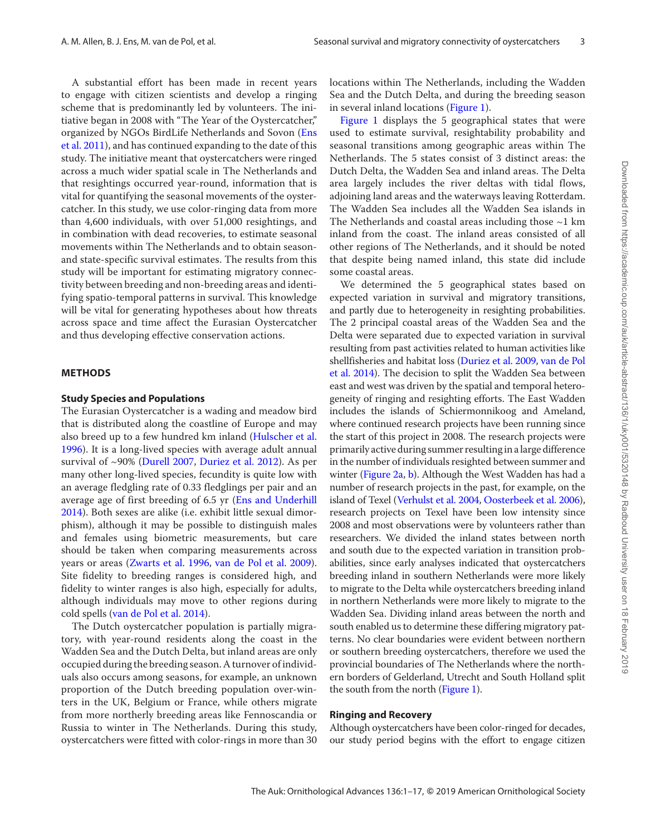A substantial effort has been made in recent years to engage with citizen scientists and develop a ringing scheme that is predominantly led by volunteers. The initiative began in 2008 with "The Year of the Oystercatcher," organized by NGOs BirdLife Netherlands and Sovon [\(Ens](#page-13-10) [et al. 2011](#page-13-10)), and has continued expanding to the date of this study. The initiative meant that oystercatchers were ringed across a much wider spatial scale in The Netherlands and that resightings occurred year-round, information that is vital for quantifying the seasonal movements of the oystercatcher. In this study, we use color-ringing data from more than 4,600 individuals, with over 51,000 resightings, and in combination with dead recoveries, to estimate seasonal movements within The Netherlands and to obtain seasonand state-specific survival estimates. The results from this study will be important for estimating migratory connectivity between breeding and non-breeding areas and identifying spatio-temporal patterns in survival. This knowledge will be vital for generating hypotheses about how threats across space and time affect the Eurasian Oystercatcher and thus developing effective conservation actions.

#### **METHODS**

#### **Study Species and Populations**

The Eurasian Oystercatcher is a wading and meadow bird that is distributed along the coastline of Europe and may also breed up to a few hundred km inland ([Hulscher et al.](#page-13-8) [1996](#page-13-8)). It is a long-lived species with average adult annual survival of ~90% ([Durell 2007,](#page-13-11) [Duriez et al. 2012](#page-13-12)). As per many other long-lived species, fecundity is quite low with an average fledgling rate of 0.33 fledglings per pair and an average age of first breeding of 6.5 yr [\(Ens and Underhill](#page-13-9) [2014](#page-13-9)). Both sexes are alike (i.e. exhibit little sexual dimorphism), although it may be possible to distinguish males and females using biometric measurements, but care should be taken when comparing measurements across years or areas ([Zwarts et al. 1996](#page-14-14), [van de Pol et al. 2009\)](#page-14-15). Site fidelity to breeding ranges is considered high, and fidelity to winter ranges is also high, especially for adults, although individuals may move to other regions during cold spells ([van de Pol et al. 2014\)](#page-14-13).

The Dutch oystercatcher population is partially migratory, with year-round residents along the coast in the Wadden Sea and the Dutch Delta, but inland areas are only occupied during the breeding season. A turnover of individuals also occurs among seasons, for example, an unknown proportion of the Dutch breeding population over-winters in the UK, Belgium or France, while others migrate from more northerly breeding areas like Fennoscandia or Russia to winter in The Netherlands. During this study, oystercatchers were fitted with color-rings in more than 30

locations within The Netherlands, including the Wadden Sea and the Dutch Delta, and during the breeding season in several inland locations [\(Figure 1](#page-3-0)).

[Figure 1](#page-3-0) displays the 5 geographical states that were used to estimate survival, resightability probability and seasonal transitions among geographic areas within The Netherlands. The 5 states consist of 3 distinct areas: the Dutch Delta, the Wadden Sea and inland areas. The Delta area largely includes the river deltas with tidal flows, adjoining land areas and the waterways leaving Rotterdam. The Wadden Sea includes all the Wadden Sea islands in The Netherlands and coastal areas including those  $\sim$ 1 km inland from the coast. The inland areas consisted of all other regions of The Netherlands, and it should be noted that despite being named inland, this state did include some coastal areas.

We determined the 5 geographical states based on expected variation in survival and migratory transitions, and partly due to heterogeneity in resighting probabilities. The 2 principal coastal areas of the Wadden Sea and the Delta were separated due to expected variation in survival resulting from past activities related to human activities like shellfisheries and habitat loss ([Duriez et al. 2009](#page-13-13), [van de Pol](#page-14-13) [et al. 2014\)](#page-14-13). The decision to split the Wadden Sea between east and west was driven by the spatial and temporal heterogeneity of ringing and resighting efforts. The East Wadden includes the islands of Schiermonnikoog and Ameland, where continued research projects have been running since the start of this project in 2008. The research projects were primarily active during summer resulting in a large difference in the number of individuals resighted between summer and winter [\(Figure 2a](#page-4-0), [b](#page-4-0)). Although the West Wadden has had a number of research projects in the past, for example, on the island of Texel [\(Verhulst et al. 2004](#page-14-16), [Oosterbeek et al. 2006\)](#page-14-17), research projects on Texel have been low intensity since 2008 and most observations were by volunteers rather than researchers. We divided the inland states between north and south due to the expected variation in transition probabilities, since early analyses indicated that oystercatchers breeding inland in southern Netherlands were more likely to migrate to the Delta while oystercatchers breeding inland in northern Netherlands were more likely to migrate to the Wadden Sea. Dividing inland areas between the north and south enabled us to determine these differing migratory patterns. No clear boundaries were evident between northern or southern breeding oystercatchers, therefore we used the provincial boundaries of The Netherlands where the northern borders of Gelderland, Utrecht and South Holland split the south from the north [\(Figure 1\)](#page-3-0).

#### **Ringing and Recovery**

Although oystercatchers have been color-ringed for decades, our study period begins with the effort to engage citizen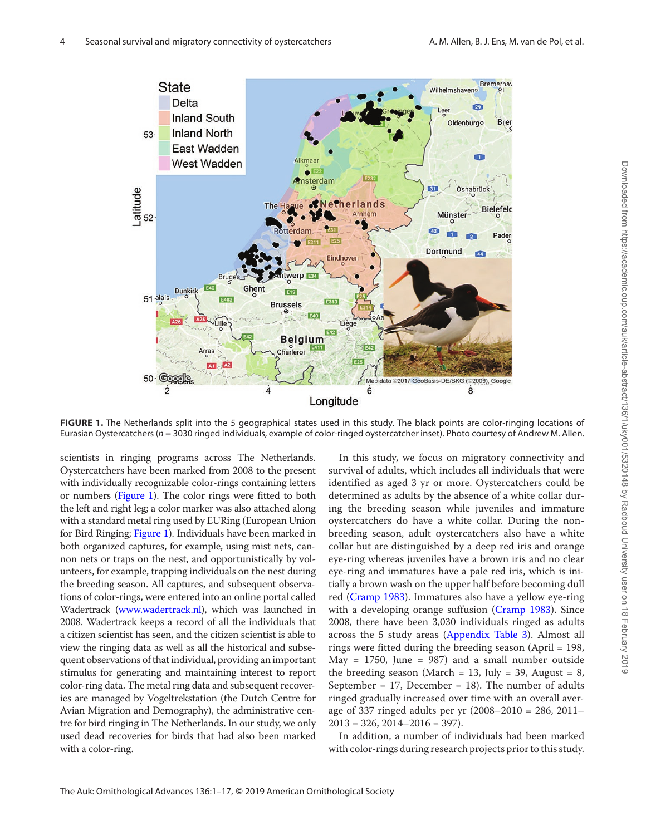

**FIGURE 1.** The Netherlands split into the 5 geographical states used in this study. The black points are color-ringing locations of Eurasian Oystercatchers ( $n = 3030$  ringed individuals, example of color-ringed oystercatcher inset). Photo courtesy of Andrew M. Allen.

scientists in ringing programs across The Netherlands. Oystercatchers have been marked from 2008 to the present with individually recognizable color-rings containing letters or numbers ([Figure 1](#page-3-0)). The color rings were fitted to both the left and right leg; a color marker was also attached along with a standard metal ring used by EURing (European Union for Bird Ringing; [Figure 1\)](#page-3-0). Individuals have been marked in both organized captures, for example, using mist nets, cannon nets or traps on the nest, and opportunistically by volunteers, for example, trapping individuals on the nest during the breeding season. All captures, and subsequent observations of color-rings, were entered into an online portal called Wadertrack [\(www.wadertrack.nl\)](http://www.wadertrack.nl), which was launched in 2008. Wadertrack keeps a record of all the individuals that a citizen scientist has seen, and the citizen scientist is able to view the ringing data as well as all the historical and subsequent observations of that individual, providing an important stimulus for generating and maintaining interest to report color-ring data. The metal ring data and subsequent recoveries are managed by Vogeltrekstation (the Dutch Centre for Avian Migration and Demography), the administrative centre for bird ringing in The Netherlands. In our study, we only used dead recoveries for birds that had also been marked with a color-ring.

<span id="page-3-0"></span>In this study, we focus on migratory connectivity and survival of adults, which includes all individuals that were identified as aged 3 yr or more. Oystercatchers could be determined as adults by the absence of a white collar during the breeding season while juveniles and immature oystercatchers do have a white collar. During the nonbreeding season, adult oystercatchers also have a white collar but are distinguished by a deep red iris and orange eye-ring whereas juveniles have a brown iris and no clear eye-ring and immatures have a pale red iris, which is initially a brown wash on the upper half before becoming dull red ([Cramp 1983\)](#page-13-14). Immatures also have a yellow eye-ring with a developing orange suffusion [\(Cramp 1983](#page-13-14)). Since 2008, there have been 3,030 individuals ringed as adults across the 5 study areas [\(Appendix Table 3](#page-15-0)). Almost all rings were fitted during the breeding season (April = 198, May =  $1750$ , June =  $987$ ) and a small number outside the breeding season (March = 13, July = 39, August =  $8$ , September =  $17$ , December =  $18$ ). The number of adults ringed gradually increased over time with an overall average of 337 ringed adults per yr (2008–2010 = 286, 2011–  $2013 = 326, 2014 - 2016 = 397$ .

In addition, a number of individuals had been marked with color-rings during research projects prior to this study.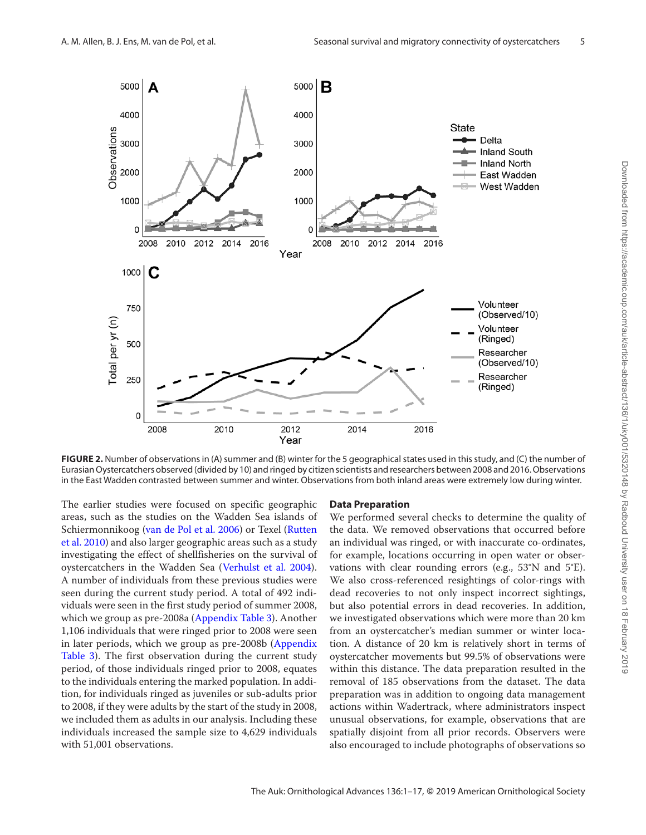

<span id="page-4-0"></span>**FIGURE 2.** Number of observations in (A) summer and (B) winter for the 5 geographical states used in this study, and (C) the number of Eurasian Oystercatchers observed (divided by 10) and ringed by citizen scientists and researchers between 2008 and 2016. Observations in the East Wadden contrasted between summer and winter. Observations from both inland areas were extremely low during winter.

The earlier studies were focused on specific geographic areas, such as the studies on the Wadden Sea islands of Schiermonnikoog [\(van de Pol et al. 2006\)](#page-14-18) or Texel [\(Rutten](#page-14-19) [et al. 2010\)](#page-14-19) and also larger geographic areas such as a study investigating the effect of shellfisheries on the survival of oystercatchers in the Wadden Sea ([Verhulst et al. 2004\)](#page-14-16). A number of individuals from these previous studies were seen during the current study period. A total of 492 individuals were seen in the first study period of summer 2008, which we group as pre-2008a ([Appendix Table 3\)](#page-15-0). Another 1,106 individuals that were ringed prior to 2008 were seen in later periods, which we group as pre-2008b ([Appendix](#page-15-0) [Table 3\)](#page-15-0). The first observation during the current study period, of those individuals ringed prior to 2008, equates to the individuals entering the marked population. In addition, for individuals ringed as juveniles or sub-adults prior to 2008, if they were adults by the start of the study in 2008, we included them as adults in our analysis. Including these individuals increased the sample size to 4,629 individuals with 51,001 observations.

#### **Data Preparation**

We performed several checks to determine the quality of the data. We removed observations that occurred before an individual was ringed, or with inaccurate co-ordinates, for example, locations occurring in open water or observations with clear rounding errors (e.g., 53°N and 5°E). We also cross-referenced resightings of color-rings with dead recoveries to not only inspect incorrect sightings, but also potential errors in dead recoveries. In addition, we investigated observations which were more than 20 km from an oystercatcher's median summer or winter location. A distance of 20 km is relatively short in terms of oystercatcher movements but 99.5% of observations were within this distance. The data preparation resulted in the removal of 185 observations from the dataset. The data preparation was in addition to ongoing data management actions within Wadertrack, where administrators inspect unusual observations, for example, observations that are spatially disjoint from all prior records. Observers were also encouraged to include photographs of observations so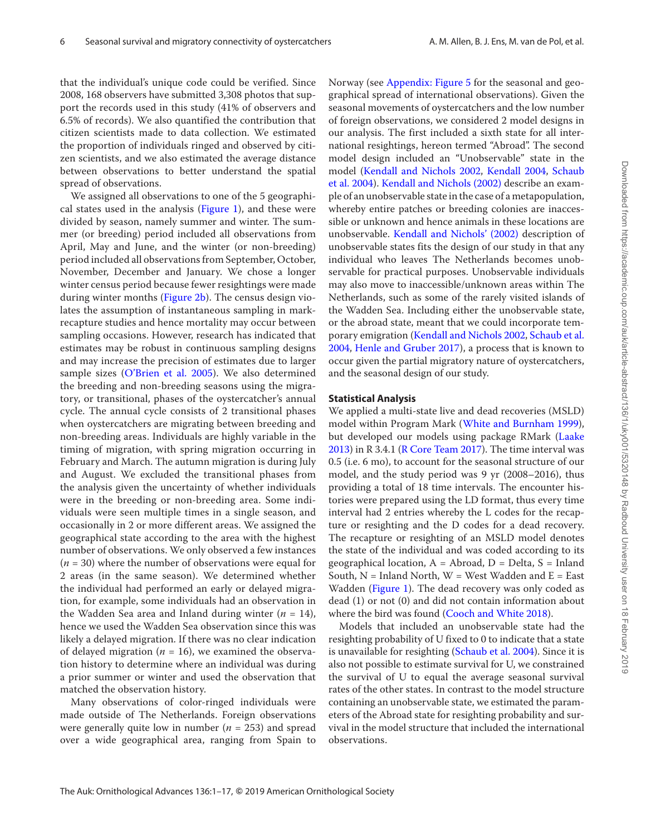that the individual's unique code could be verified. Since 2008, 168 observers have submitted 3,308 photos that support the records used in this study (41% of observers and 6.5% of records). We also quantified the contribution that citizen scientists made to data collection. We estimated the proportion of individuals ringed and observed by citizen scientists, and we also estimated the average distance between observations to better understand the spatial spread of observations.

We assigned all observations to one of the 5 geographical states used in the analysis ([Figure 1\)](#page-3-0), and these were divided by season, namely summer and winter. The summer (or breeding) period included all observations from April, May and June, and the winter (or non-breeding) period included all observations from September, October, November, December and January. We chose a longer winter census period because fewer resightings were made during winter months [\(Figure 2b\)](#page-4-0). The census design violates the assumption of instantaneous sampling in markrecapture studies and hence mortality may occur between sampling occasions. However, research has indicated that estimates may be robust in continuous sampling designs and may increase the precision of estimates due to larger sample sizes (O'Brien et al. 2005). We also determined the breeding and non-breeding seasons using the migratory, or transitional, phases of the oystercatcher's annual cycle. The annual cycle consists of 2 transitional phases when oystercatchers are migrating between breeding and non-breeding areas. Individuals are highly variable in the timing of migration, with spring migration occurring in February and March. The autumn migration is during July and August. We excluded the transitional phases from the analysis given the uncertainty of whether individuals were in the breeding or non-breeding area. Some individuals were seen multiple times in a single season, and occasionally in 2 or more different areas. We assigned the geographical state according to the area with the highest number of observations. We only observed a few instances (*n* = 30) where the number of observations were equal for 2 areas (in the same season). We determined whether the individual had performed an early or delayed migration, for example, some individuals had an observation in the Wadden Sea area and Inland during winter  $(n = 14)$ , hence we used the Wadden Sea observation since this was likely a delayed migration. If there was no clear indication of delayed migration ( $n = 16$ ), we examined the observation history to determine where an individual was during a prior summer or winter and used the observation that matched the observation history.

Many observations of color-ringed individuals were made outside of The Netherlands. Foreign observations were generally quite low in number  $(n = 253)$  and spread over a wide geographical area, ranging from Spain to Norway (see [Appendix: Figure 5](#page-15-1) for the seasonal and geographical spread of international observations). Given the seasonal movements of oystercatchers and the low number of foreign observations, we considered 2 model designs in our analysis. The first included a sixth state for all international resightings, hereon termed "Abroad". The second model design included an "Unobservable" state in the model ([Kendall and Nichols 2002,](#page-13-15) [Kendall 2004,](#page-13-16) [Schaub](#page-14-21) [et al. 2004\)](#page-14-21). [Kendall and Nichols \(2002\)](#page-13-15) describe an example of an unobservable state in the case of a metapopulation, whereby entire patches or breeding colonies are inaccessible or unknown and hence animals in these locations are unobservable. [Kendall and Nichols' \(2002\)](#page-13-15) description of unobservable states fits the design of our study in that any individual who leaves The Netherlands becomes unobservable for practical purposes. Unobservable individuals may also move to inaccessible/unknown areas within The Netherlands, such as some of the rarely visited islands of the Wadden Sea. Including either the unobservable state, or the abroad state, meant that we could incorporate temporary emigration [\(Kendall and Nichols 2002,](#page-13-15) [Schaub et al.](#page-14-21)  [2004,](#page-14-21) [Henle and Gruber 2017\)](#page-13-17), a process that is known to occur given the partial migratory nature of oystercatchers, and the seasonal design of our study.

#### **Statistical Analysis**

We applied a multi-state live and dead recoveries (MSLD) model within Program Mark ([White and Burnham 1999](#page-14-22)), but developed our models using package RMark ([Laake](#page-13-18) [2013\)](#page-13-18) in R 3.4.1 ([R Core Team 2017\)](#page-14-23). The time interval was 0.5 (i.e. 6 mo), to account for the seasonal structure of our model, and the study period was 9 yr (2008–2016), thus providing a total of 18 time intervals. The encounter histories were prepared using the LD format, thus every time interval had 2 entries whereby the L codes for the recapture or resighting and the D codes for a dead recovery. The recapture or resighting of an MSLD model denotes the state of the individual and was coded according to its geographical location,  $A = Abroad, D = Delta, S = Inland$ South,  $N =$  Inland North,  $W =$  West Wadden and  $E =$  East Wadden ([Figure 1](#page-3-0)). The dead recovery was only coded as dead (1) or not (0) and did not contain information about where the bird was found ([Cooch and White 2018](#page-13-19)).

Models that included an unobservable state had the resighting probability of U fixed to 0 to indicate that a state is unavailable for resighting [\(Schaub et al. 2004](#page-14-21)). Since it is also not possible to estimate survival for U, we constrained the survival of U to equal the average seasonal survival rates of the other states. In contrast to the model structure containing an unobservable state, we estimated the parameters of the Abroad state for resighting probability and survival in the model structure that included the international observations.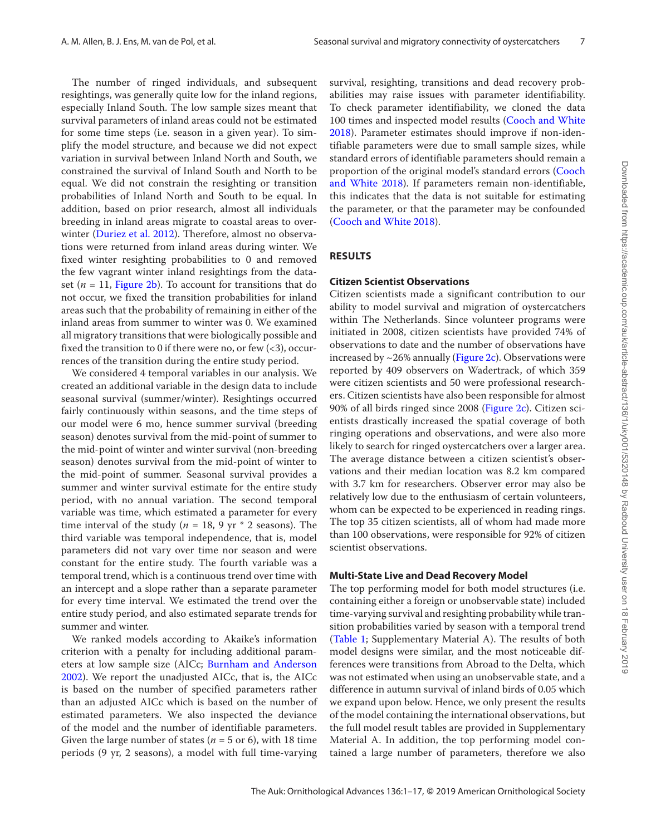The number of ringed individuals, and subsequent resightings, was generally quite low for the inland regions, especially Inland South. The low sample sizes meant that survival parameters of inland areas could not be estimated for some time steps (i.e. season in a given year). To simplify the model structure, and because we did not expect variation in survival between Inland North and South, we constrained the survival of Inland South and North to be equal. We did not constrain the resighting or transition probabilities of Inland North and South to be equal. In addition, based on prior research, almost all individuals breeding in inland areas migrate to coastal areas to overwinter ([Duriez et al. 2012](#page-13-12)). Therefore, almost no observations were returned from inland areas during winter. We fixed winter resighting probabilities to 0 and removed the few vagrant winter inland resightings from the dataset  $(n = 11,$  [Figure 2b\)](#page-4-0). To account for transitions that do not occur, we fixed the transition probabilities for inland areas such that the probability of remaining in either of the inland areas from summer to winter was 0. We examined all migratory transitions that were biologically possible and fixed the transition to 0 if there were no, or few  $(<$ 3), occurrences of the transition during the entire study period.

We considered 4 temporal variables in our analysis. We created an additional variable in the design data to include seasonal survival (summer/winter). Resightings occurred fairly continuously within seasons, and the time steps of our model were 6 mo, hence summer survival (breeding season) denotes survival from the mid-point of summer to the mid-point of winter and winter survival (non-breeding season) denotes survival from the mid-point of winter to the mid-point of summer. Seasonal survival provides a summer and winter survival estimate for the entire study period, with no annual variation. The second temporal variable was time, which estimated a parameter for every time interval of the study ( $n = 18$ , 9 yr  $*$  2 seasons). The third variable was temporal independence, that is, model parameters did not vary over time nor season and were constant for the entire study. The fourth variable was a temporal trend, which is a continuous trend over time with an intercept and a slope rather than a separate parameter for every time interval. We estimated the trend over the entire study period, and also estimated separate trends for summer and winter.

We ranked models according to Akaike's information criterion with a penalty for including additional parameters at low sample size (AICc; [Burnham and Anderson](#page-13-20) [2002](#page-13-20)). We report the unadjusted AICc, that is, the AICc is based on the number of specified parameters rather than an adjusted AICc which is based on the number of estimated parameters. We also inspected the deviance of the model and the number of identifiable parameters. Given the large number of states ( $n = 5$  or 6), with 18 time periods (9 yr, 2 seasons), a model with full time-varying

survival, resighting, transitions and dead recovery probabilities may raise issues with parameter identifiability. To check parameter identifiability, we cloned the data 100 times and inspected model results [\(Cooch and White](#page-13-19)  [2018\)](#page-13-19). Parameter estimates should improve if non-identifiable parameters were due to small sample sizes, while standard errors of identifiable parameters should remain a proportion of the original model's standard errors [\(Cooch](#page-13-19)  [and White 2018](#page-13-19)). If parameters remain non-identifiable, this indicates that the data is not suitable for estimating the parameter, or that the parameter may be confounded ([Cooch and White 2018](#page-13-19)).

## **RESULTS**

#### **Citizen Scientist Observations**

Citizen scientists made a significant contribution to our ability to model survival and migration of oystercatchers within The Netherlands. Since volunteer programs were initiated in 2008, citizen scientists have provided 74% of observations to date and the number of observations have increased by  $\sim$  26% annually [\(Figure 2c\)](#page-4-0). Observations were reported by 409 observers on Wadertrack, of which 359 were citizen scientists and 50 were professional researchers. Citizen scientists have also been responsible for almost 90% of all birds ringed since 2008 [\(Figure 2c\)](#page-4-0). Citizen scientists drastically increased the spatial coverage of both ringing operations and observations, and were also more likely to search for ringed oystercatchers over a larger area. The average distance between a citizen scientist's observations and their median location was 8.2 km compared with 3.7 km for researchers. Observer error may also be relatively low due to the enthusiasm of certain volunteers, whom can be expected to be experienced in reading rings. The top 35 citizen scientists, all of whom had made more than 100 observations, were responsible for 92% of citizen scientist observations.

#### **Multi-State Live and Dead Recovery Model**

The top performing model for both model structures (i.e. containing either a foreign or unobservable state) included time-varying survival and resighting probability while transition probabilities varied by season with a temporal trend ([Table 1;](#page-7-0) Supplementary Material A). The results of both model designs were similar, and the most noticeable differences were transitions from Abroad to the Delta, which was not estimated when using an unobservable state, and a difference in autumn survival of inland birds of 0.05 which we expand upon below. Hence, we only present the results of the model containing the international observations, but the full model result tables are provided in Supplementary Material A. In addition, the top performing model contained a large number of parameters, therefore we also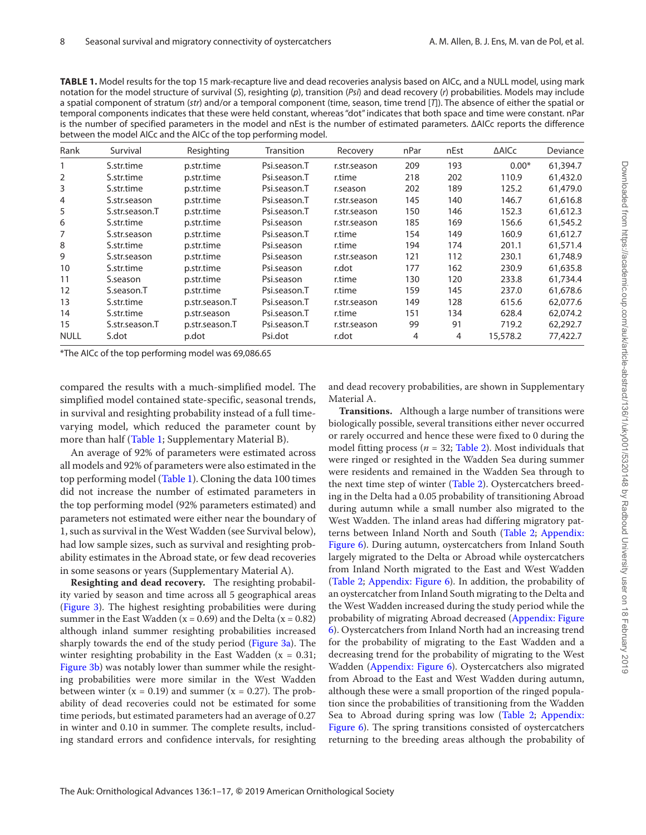<span id="page-7-0"></span>**TABLE 1.** Model results for the top 15 mark-recapture live and dead recoveries analysis based on AICc, and a NULL model, using mark notation for the model structure of survival (*S*), resighting (*p*), transition (*Psi*) and dead recovery (*r*) probabilities. Models may include a spatial component of stratum (*str*) and/or a temporal component (time, season, time trend [*T*]). The absence of either the spatial or temporal components indicates that these were held constant, whereas "dot" indicates that both space and time were constant. nPar is the number of specified parameters in the model and nEst is the number of estimated parameters. ∆AICc reports the difference between the model AICc and the AICc of the top performing model.

| Rank        | Survival       | Resighting     | Transition   | Recovery     | nPar | nEst | <b>AAICc</b> | Deviance |
|-------------|----------------|----------------|--------------|--------------|------|------|--------------|----------|
|             | S.str.time     | p.str.time     | Psi.season.T | r.str.season | 209  | 193  | $0.00*$      | 61,394.7 |
| 2           | S.str.time     | p.str.time     | Psi.season.T | r.time       | 218  | 202  | 110.9        | 61,432.0 |
| 3           | S.str.time     | p.str.time     | Psi.season.T | r.season     | 202  | 189  | 125.2        | 61,479.0 |
| 4           | S.str.season   | p.str.time     | Psi.season.T | r.str.season | 145  | 140  | 146.7        | 61,616.8 |
| 5           | S.str.season.T | p.str.time     | Psi.season.T | r.str.season | 150  | 146  | 152.3        | 61,612.3 |
| 6           | S.str.time     | p.str.time     | Psi.season   | r.str.season | 185  | 169  | 156.6        | 61,545.2 |
| 7           | S.str.season   | p.str.time     | Psi.season.T | r.time       | 154  | 149  | 160.9        | 61,612.7 |
| 8           | S.str.time     | p.str.time     | Psi.season   | r.time       | 194  | 174  | 201.1        | 61,571.4 |
| 9           | S.str.season   | p.str.time     | Psi.season   | r.str.season | 121  | 112  | 230.1        | 61,748.9 |
| 10          | S.str.time     | p.str.time     | Psi.season   | r.dot        | 177  | 162  | 230.9        | 61,635.8 |
| 11          | S.season       | p.str.time     | Psi.season   | r.time       | 130  | 120  | 233.8        | 61,734.4 |
| 12          | S.season.T     | p.str.time     | Psi.season.T | r.time       | 159  | 145  | 237.0        | 61,678.6 |
| 13          | S.str.time     | p.str.season.T | Psi.season.T | r.str.season | 149  | 128  | 615.6        | 62,077.6 |
| 14          | S.str.time     | p.str.season   | Psi.season.T | r.time       | 151  | 134  | 628.4        | 62.074.2 |
| 15          | S.str.season.T | p.str.season.T | Psi.season.T | r.str.season | 99   | 91   | 719.2        | 62,292.7 |
| <b>NULL</b> | S.dot          | p.dot          | Psi.dot      | r.dot        | 4    | 4    | 15,578.2     | 77,422.7 |

\*The AICc of the top performing model was 69,086.65

compared the results with a much-simplified model. The simplified model contained state-specific, seasonal trends, in survival and resighting probability instead of a full timevarying model, which reduced the parameter count by more than half ([Table 1](#page-7-0); Supplementary Material B).

An average of 92% of parameters were estimated across all models and 92% of parameters were also estimated in the top performing model [\(Table 1\)](#page-7-0). Cloning the data 100 times did not increase the number of estimated parameters in the top performing model (92% parameters estimated) and parameters not estimated were either near the boundary of 1, such as survival in the West Wadden (see Survival below), had low sample sizes, such as survival and resighting probability estimates in the Abroad state, or few dead recoveries in some seasons or years (Supplementary Material A).

**Resighting and dead recovery.** The resighting probability varied by season and time across all 5 geographical areas [\(Figure 3\)](#page-8-0). The highest resighting probabilities were during summer in the East Wadden ( $x = 0.69$ ) and the Delta ( $x = 0.82$ ) although inland summer resighting probabilities increased sharply towards the end of the study period ([Figure 3a\)](#page-8-0). The winter resighting probability in the East Wadden  $(x = 0.31;$ [Figure 3b](#page-8-0)) was notably lower than summer while the resighting probabilities were more similar in the West Wadden between winter  $(x = 0.19)$  and summer  $(x = 0.27)$ . The probability of dead recoveries could not be estimated for some time periods, but estimated parameters had an average of 0.27 in winter and 0.10 in summer. The complete results, including standard errors and confidence intervals, for resighting

and dead recovery probabilities, are shown in Supplementary Material A.

**Transitions.** Although a large number of transitions were biologically possible, several transitions either never occurred or rarely occurred and hence these were fixed to 0 during the model fitting process ( $n = 32$ ; [Table 2\)](#page-8-1). Most individuals that were ringed or resighted in the Wadden Sea during summer were residents and remained in the Wadden Sea through to the next time step of winter ([Table 2\)](#page-8-1). Oystercatchers breeding in the Delta had a 0.05 probability of transitioning Abroad during autumn while a small number also migrated to the West Wadden. The inland areas had differing migratory patterns between Inland North and South [\(Table 2](#page-8-1); [Appendix:](#page-16-0)  [Figure 6](#page-16-0)). During autumn, oystercatchers from Inland South largely migrated to the Delta or Abroad while oystercatchers from Inland North migrated to the East and West Wadden ([Table 2](#page-8-1); [Appendix: Figure 6](#page-16-0)). In addition, the probability of an oystercatcher from Inland South migrating to the Delta and the West Wadden increased during the study period while the probability of migrating Abroad decreased [\(Appendix: Figure](#page-16-0) [6](#page-16-0)). Oystercatchers from Inland North had an increasing trend for the probability of migrating to the East Wadden and a decreasing trend for the probability of migrating to the West Wadden ([Appendix: Figure 6](#page-16-0)). Oystercatchers also migrated from Abroad to the East and West Wadden during autumn, although these were a small proportion of the ringed population since the probabilities of transitioning from the Wadden Sea to Abroad during spring was low ([Table 2](#page-8-1); [Appendix:](#page-16-0)  [Figure 6\)](#page-16-0). The spring transitions consisted of oystercatchers returning to the breeding areas although the probability of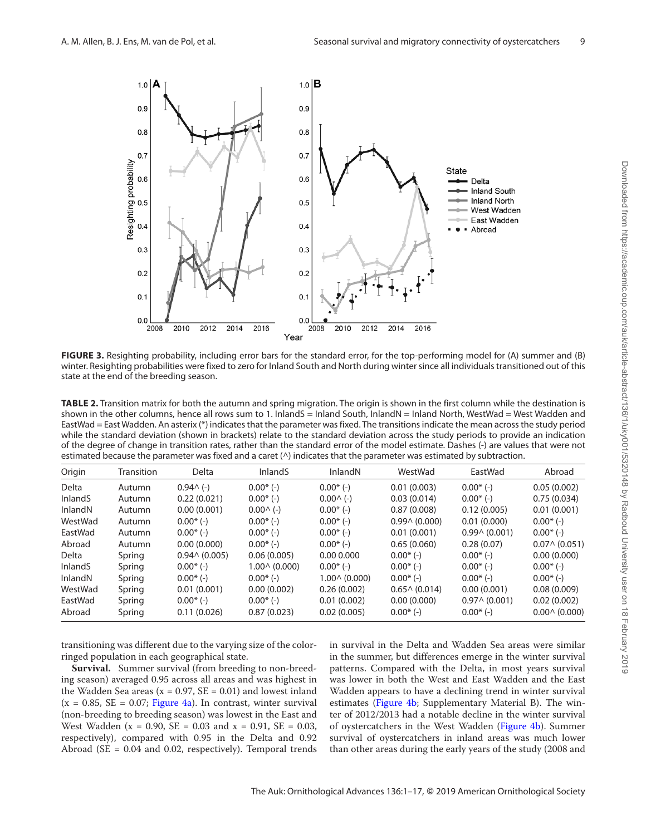

<span id="page-8-0"></span>**FIGURE 3.** Resighting probability, including error bars for the standard error, for the top-performing model for (A) summer and (B) winter. Resighting probabilities were fixed to zero for Inland South and North during winter since all individuals transitioned out of this state at the end of the breeding season.

<span id="page-8-1"></span>**TABLE 2.** Transition matrix for both the autumn and spring migration. The origin is shown in the first column while the destination is shown in the other columns, hence all rows sum to 1. InlandS = Inland South, InlandN = Inland North, WestWad = West Wadden and EastWad = East Wadden. An asterix (\*) indicates that the parameter was fixed. The transitions indicate the mean across the study period while the standard deviation (shown in brackets) relate to the standard deviation across the study periods to provide an indication of the degree of change in transition rates, rather than the standard error of the model estimate. Dashes (-) are values that were not estimated because the parameter was fixed and a caret  $(\wedge)$  indicates that the parameter was estimated by subtraction.

| Origin         | Transition | Delta                | InlandS              | InlandN              | WestWad              | EastWad              | Abroad                |
|----------------|------------|----------------------|----------------------|----------------------|----------------------|----------------------|-----------------------|
| Delta          | Autumn     | $0.94 \wedge (-)$    | $0.00*(-)$           | $0.00*(-)$           | 0.01(0.003)          | $0.00*(-)$           | 0.05(0.002)           |
| <b>InlandS</b> | Autumn     | 0.22(0.021)          | $0.00*(-)$           | $0.00 \wedge (-)$    | 0.03(0.014)          | $0.00*(-)$           | 0.75(0.034)           |
| InlandN        | Autumn     | 0.00(0.001)          | $0.00 \wedge (-)$    | $0.00*(-)$           | 0.87(0.008)          | 0.12(0.005)          | 0.01(0.001)           |
| WestWad        | Autumn     | $0.00*(-)$           | $0.00*(-)$           | $0.00*(-)$           | $0.99 \land (0.000)$ | 0.01(0.000)          | $0.00*(-)$            |
| EastWad        | Autumn     | $0.00*(-)$           | $0.00*(-)$           | $0.00*(-)$           | 0.01(0.001)          | $0.99 \land (0.001)$ | $0.00*(-)$            |
| Abroad         | Autumn     | 0.00(0.000)          | $0.00*(-)$           | $0.00^{*}$ (-)       | 0.65(0.060)          | 0.28(0.07)           | $0.07 \land (0.051)$  |
| Delta          | Spring     | $0.94 \land (0.005)$ | 0.06(0.005)          | 0.000000             | $0.00*(-)$           | $0.00*(-)$           | 0.00(0.000)           |
| <b>InlandS</b> | Spring     | $0.00*(-)$           | $1.00 \land (0.000)$ | $0.00*(-)$           | $0.00*(-)$           | $0.00*(-)$           | $0.00*(-)$            |
| InlandN        | Spring     | $0.00*(-)$           | $0.00*(-)$           | $1.00 \land (0.000)$ | $0.00*(-)$           | $0.00*(-)$           | $0.00^{*}$ (-)        |
| WestWad        | Spring     | 0.01(0.001)          | 0.00(0.002)          | 0.26(0.002)          | $0.65 \land (0.014)$ | 0.00(0.001)          | 0.08(0.009)           |
| EastWad        | Spring     | $0.00*(-)$           | $0.00*(-)$           | 0.01(0.002)          | 0.00(0.000)          | $0.97 \land (0.001)$ | 0.02(0.002)           |
| Abroad         | Spring     | 0.11(0.026)          | 0.87(0.023)          | 0.02(0.005)          | $0.00*(-)$           | $0.00*(-)$           | $0.00 \wedge (0.000)$ |

transitioning was different due to the varying size of the colorringed population in each geographical state.

**Survival.** Summer survival (from breeding to non-breeding season) averaged 0.95 across all areas and was highest in the Wadden Sea areas ( $x = 0.97$ , SE = 0.01) and lowest inland  $(x = 0.85, SE = 0.07; Figure 4a)$  $(x = 0.85, SE = 0.07; Figure 4a)$ . In contrast, winter survival (non-breeding to breeding season) was lowest in the East and West Wadden (x = 0.90, SE = 0.03 and x = 0.91, SE = 0.03, respectively), compared with 0.95 in the Delta and 0.92 Abroad ( $SE = 0.04$  and 0.02, respectively). Temporal trends in survival in the Delta and Wadden Sea areas were similar in the summer, but differences emerge in the winter survival patterns. Compared with the Delta, in most years survival was lower in both the West and East Wadden and the East Wadden appears to have a declining trend in winter survival estimates ([Figure 4b](#page-9-0); Supplementary Material B). The winter of 2012/2013 had a notable decline in the winter survival of oystercatchers in the West Wadden [\(Figure 4b\)](#page-9-0). Summer survival of oystercatchers in inland areas was much lower than other areas during the early years of the study (2008 and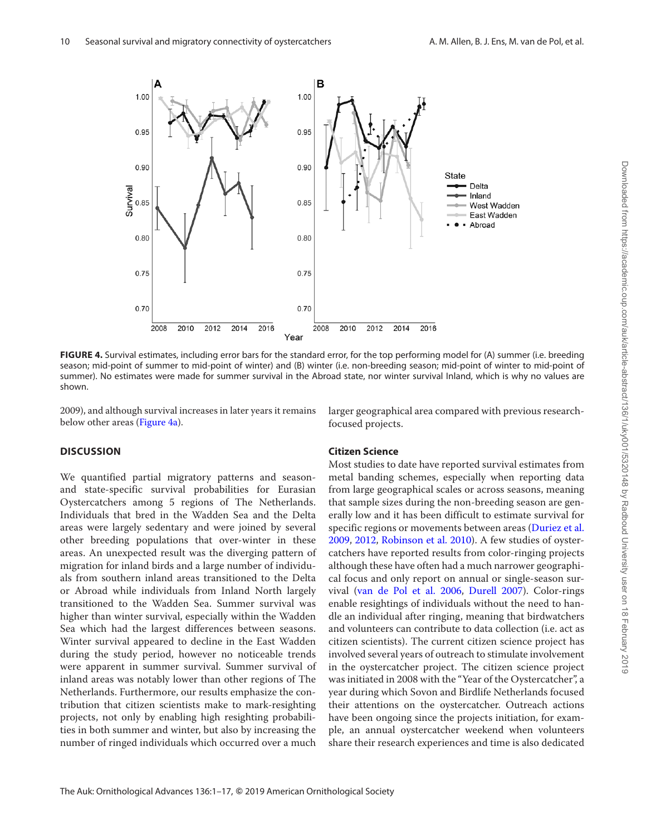

<span id="page-9-0"></span>**FIGURE 4.** Survival estimates, including error bars for the standard error, for the top performing model for (A) summer (i.e. breeding season; mid-point of summer to mid-point of winter) and (B) winter (i.e. non-breeding season; mid-point of winter to mid-point of summer). No estimates were made for summer survival in the Abroad state, nor winter survival Inland, which is why no values are shown.

2009), and although survival increases in later years it remains below other areas [\(Figure 4a](#page-9-0)).

larger geographical area compared with previous researchfocused projects.

#### **DISCUSSION**

We quantified partial migratory patterns and seasonand state-specific survival probabilities for Eurasian Oystercatchers among 5 regions of The Netherlands. Individuals that bred in the Wadden Sea and the Delta areas were largely sedentary and were joined by several other breeding populations that over-winter in these areas. An unexpected result was the diverging pattern of migration for inland birds and a large number of individuals from southern inland areas transitioned to the Delta or Abroad while individuals from Inland North largely transitioned to the Wadden Sea. Summer survival was higher than winter survival, especially within the Wadden Sea which had the largest differences between seasons. Winter survival appeared to decline in the East Wadden during the study period, however no noticeable trends were apparent in summer survival. Summer survival of inland areas was notably lower than other regions of The Netherlands. Furthermore, our results emphasize the contribution that citizen scientists make to mark-resighting projects, not only by enabling high resighting probabilities in both summer and winter, but also by increasing the number of ringed individuals which occurred over a much

#### **Citizen Science**

Most studies to date have reported survival estimates from metal banding schemes, especially when reporting data from large geographical scales or across seasons, meaning that sample sizes during the non-breeding season are generally low and it has been difficult to estimate survival for specific regions or movements between areas ([Duriez et al.](#page-13-13)  [2009,](#page-13-13) [2012,](#page-13-12) [Robinson et al. 2010\)](#page-14-24). A few studies of oystercatchers have reported results from color-ringing projects although these have often had a much narrower geographical focus and only report on annual or single-season survival ([van de Pol et al. 2006,](#page-14-18) [Durell 2007\)](#page-13-11). Color-rings enable resightings of individuals without the need to handle an individual after ringing, meaning that birdwatchers and volunteers can contribute to data collection (i.e. act as citizen scientists). The current citizen science project has involved several years of outreach to stimulate involvement in the oystercatcher project. The citizen science project was initiated in 2008 with the "Year of the Oystercatcher", a year during which Sovon and Birdlife Netherlands focused their attentions on the oystercatcher. Outreach actions have been ongoing since the projects initiation, for example, an annual oystercatcher weekend when volunteers share their research experiences and time is also dedicated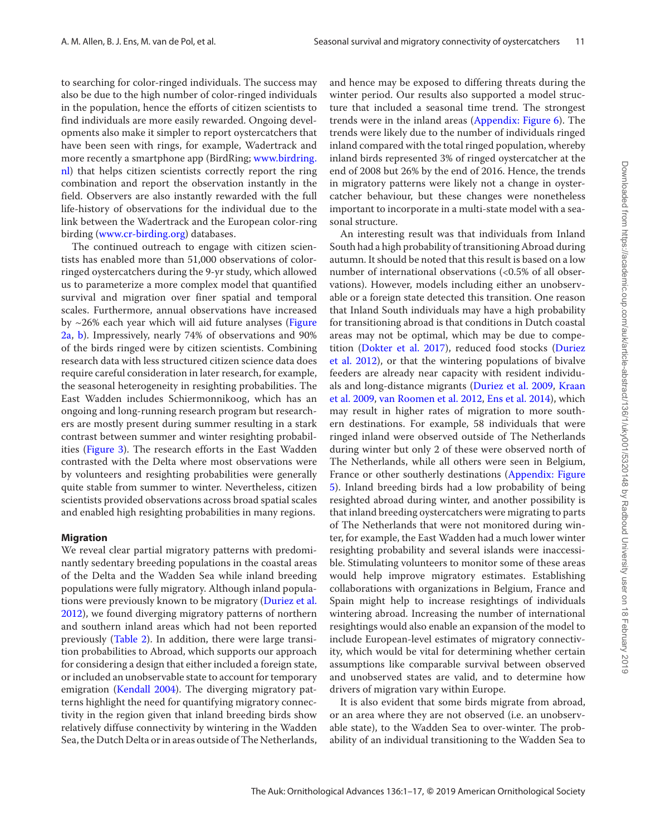to searching for color-ringed individuals. The success may also be due to the high number of color-ringed individuals in the population, hence the efforts of citizen scientists to find individuals are more easily rewarded. Ongoing developments also make it simpler to report oystercatchers that have been seen with rings, for example, Wadertrack and more recently a smartphone app (BirdRing; [www.birdring.](http://www.birdring.nl) [nl](http://www.birdring.nl)) that helps citizen scientists correctly report the ring combination and report the observation instantly in the field. Observers are also instantly rewarded with the full life-history of observations for the individual due to the link between the Wadertrack and the European color-ring birding ([www.cr-birding.org](http://www.cr-birding.org)) databases.

The continued outreach to engage with citizen scientists has enabled more than 51,000 observations of colorringed oystercatchers during the 9-yr study, which allowed us to parameterize a more complex model that quantified survival and migration over finer spatial and temporal scales. Furthermore, annual observations have increased by  $\sim$ 26% each year which will aid future analyses [\(Figure](#page-4-0) [2a,](#page-4-0) [b\)](#page-4-0). Impressively, nearly 74% of observations and 90% of the birds ringed were by citizen scientists. Combining research data with less structured citizen science data does require careful consideration in later research, for example, the seasonal heterogeneity in resighting probabilities. The East Wadden includes Schiermonnikoog, which has an ongoing and long-running research program but researchers are mostly present during summer resulting in a stark contrast between summer and winter resighting probabilities ([Figure 3\)](#page-8-0). The research efforts in the East Wadden contrasted with the Delta where most observations were by volunteers and resighting probabilities were generally quite stable from summer to winter. Nevertheless, citizen scientists provided observations across broad spatial scales and enabled high resighting probabilities in many regions.

#### **Migration**

We reveal clear partial migratory patterns with predominantly sedentary breeding populations in the coastal areas of the Delta and the Wadden Sea while inland breeding populations were fully migratory. Although inland populations were previously known to be migratory ([Duriez et al.](#page-13-12) [2012](#page-13-12)), we found diverging migratory patterns of northern and southern inland areas which had not been reported previously ([Table 2](#page-8-1)). In addition, there were large transition probabilities to Abroad, which supports our approach for considering a design that either included a foreign state, or included an unobservable state to account for temporary emigration ([Kendall 2004](#page-13-16)). The diverging migratory patterns highlight the need for quantifying migratory connectivity in the region given that inland breeding birds show relatively diffuse connectivity by wintering in the Wadden Sea, the Dutch Delta or in areas outside of The Netherlands,

and hence may be exposed to differing threats during the winter period. Our results also supported a model structure that included a seasonal time trend. The strongest trends were in the inland areas [\(Appendix: Figure 6\)](#page-16-0). The trends were likely due to the number of individuals ringed inland compared with the total ringed population, whereby inland birds represented 3% of ringed oystercatcher at the end of 2008 but 26% by the end of 2016. Hence, the trends in migratory patterns were likely not a change in oystercatcher behaviour, but these changes were nonetheless important to incorporate in a multi-state model with a seasonal structure.

An interesting result was that individuals from Inland South had a high probability of transitioning Abroad during autumn. It should be noted that this result is based on a low number of international observations (<0.5% of all observations). However, models including either an unobservable or a foreign state detected this transition. One reason that Inland South individuals may have a high probability for transitioning abroad is that conditions in Dutch coastal areas may not be optimal, which may be due to competition ([Dokter et al. 2017](#page-13-21)), reduced food stocks ([Duriez](#page-13-12) [et al. 2012](#page-13-12)), or that the wintering populations of bivalve feeders are already near capacity with resident individuals and long-distance migrants ([Duriez et al. 2009](#page-13-13), [Kraan](#page-13-22) [et al. 2009,](#page-13-22) [van Roomen et al. 2012](#page-14-25), [Ens et al. 2014\)](#page-13-23), which may result in higher rates of migration to more southern destinations. For example, 58 individuals that were ringed inland were observed outside of The Netherlands during winter but only 2 of these were observed north of The Netherlands, while all others were seen in Belgium, France or other southerly destinations ([Appendix: Figure](#page-15-1)  [5\)](#page-15-1). Inland breeding birds had a low probability of being resighted abroad during winter, and another possibility is that inland breeding oystercatchers were migrating to parts of The Netherlands that were not monitored during winter, for example, the East Wadden had a much lower winter resighting probability and several islands were inaccessible. Stimulating volunteers to monitor some of these areas would help improve migratory estimates. Establishing collaborations with organizations in Belgium, France and Spain might help to increase resightings of individuals wintering abroad. Increasing the number of international resightings would also enable an expansion of the model to include European-level estimates of migratory connectivity, which would be vital for determining whether certain assumptions like comparable survival between observed and unobserved states are valid, and to determine how drivers of migration vary within Europe.

It is also evident that some birds migrate from abroad, or an area where they are not observed (i.e. an unobservable state), to the Wadden Sea to over-winter. The probability of an individual transitioning to the Wadden Sea to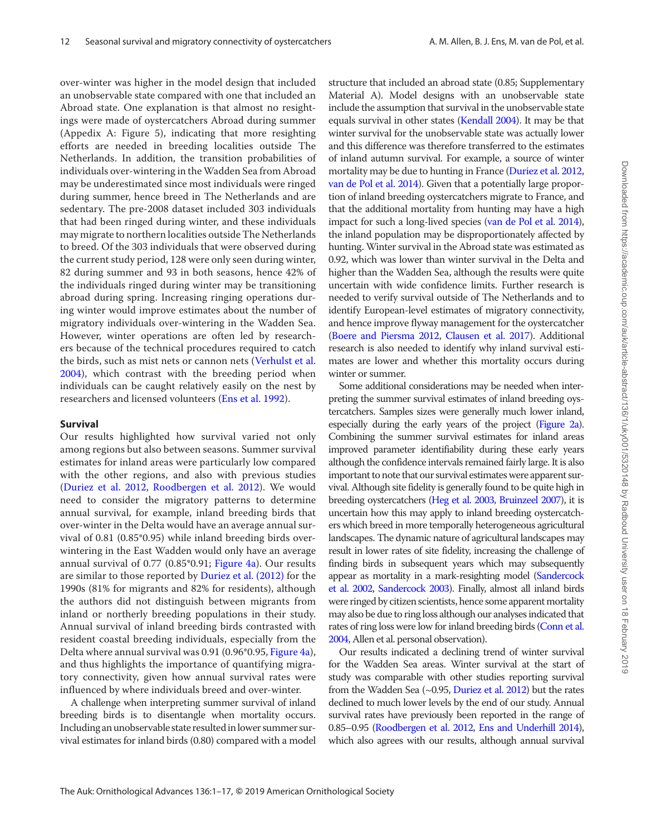over-winter was higher in the model design that included an unobservable state compared with one that included an Abroad state. One explanation is that almost no resightings were made of oystercatchers Abroad during summer (Appedix A: Figure 5), indicating that more resighting efforts are needed in breeding localities outside The Netherlands. In addition, the transition probabilities of individuals over-wintering in the Wadden Sea from Abroad may be underestimated since most individuals were ringed during summer, hence breed in The Netherlands and are sedentary. The pre-2008 dataset included 303 individuals that had been ringed during winter, and these individuals may migrate to northern localities outside The Netherlands to breed. Of the 303 individuals that were observed during the current study period, 128 were only seen during winter, 82 during summer and 93 in both seasons, hence 42% of the individuals ringed during winter may be transitioning abroad during spring. Increasing ringing operations during winter would improve estimates about the number of migratory individuals over-wintering in the Wadden Sea. However, winter operations are often led by researchers because of the technical procedures required to catch the birds, such as mist nets or cannon nets ([Verhulst et al.](#page-14-16) [2004](#page-14-16)), which contrast with the breeding period when individuals can be caught relatively easily on the nest by researchers and licensed volunteers [\(Ens et al. 1992\)](#page-13-24).

#### **Survival**

Our results highlighted how survival varied not only among regions but also between seasons. Summer survival estimates for inland areas were particularly low compared with the other regions, and also with previous studies [\(Duriez et al. 2012,](#page-13-12) [Roodbergen et al. 2012\)](#page-14-12). We would need to consider the migratory patterns to determine annual survival, for example, inland breeding birds that over-winter in the Delta would have an average annual survival of 0.81 (0.85\*0.95) while inland breeding birds overwintering in the East Wadden would only have an average annual survival of 0.77 (0.85\*0.91; [Figure 4a\)](#page-9-0). Our results are similar to those reported by [Duriez et al. \(2012\)](#page-13-12) for the 1990s (81% for migrants and 82% for residents), although the authors did not distinguish between migrants from inland or northerly breeding populations in their study. Annual survival of inland breeding birds contrasted with resident coastal breeding individuals, especially from the Delta where annual survival was 0.91 (0.96\*0.95, [Figure 4a\)](#page-9-0), and thus highlights the importance of quantifying migratory connectivity, given how annual survival rates were influenced by where individuals breed and over-winter.

A challenge when interpreting summer survival of inland breeding birds is to disentangle when mortality occurs. Including an unobservable state resulted in lower summer survival estimates for inland birds (0.80) compared with a model structure that included an abroad state (0.85; Supplementary Material A). Model designs with an unobservable state include the assumption that survival in the unobservable state equals survival in other states ([Kendall 2004](#page-13-16)). It may be that winter survival for the unobservable state was actually lower and this difference was therefore transferred to the estimates of inland autumn survival. For example, a source of winter mortality may be due to hunting in France ([Duriez et al. 2012,](#page-13-12) [van de Pol et al. 2014\)](#page-14-13). Given that a potentially large proportion of inland breeding oystercatchers migrate to France, and that the additional mortality from hunting may have a high impact for such a long-lived species [\(van de Pol et al. 2014\)](#page-14-13), the inland population may be disproportionately affected by hunting. Winter survival in the Abroad state was estimated as 0.92, which was lower than winter survival in the Delta and higher than the Wadden Sea, although the results were quite uncertain with wide confidence limits. Further research is needed to verify survival outside of The Netherlands and to identify European-level estimates of migratory connectivity, and hence improve flyway management for the oystercatcher ([Boere and Piersma 2012](#page-12-2), [Clausen et al. 2017](#page-13-25)). Additional research is also needed to identify why inland survival estimates are lower and whether this mortality occurs during winter or summer.

Some additional considerations may be needed when interpreting the summer survival estimates of inland breeding oystercatchers. Samples sizes were generally much lower inland, especially during the early years of the project [\(Figure 2a\)](#page-4-0). Combining the summer survival estimates for inland areas improved parameter identifiability during these early years although the confidence intervals remained fairly large. It is also important to note that our survival estimates were apparent survival. Although site fidelity is generally found to be quite high in breeding oystercatchers [\(Heg et al. 2003](#page-13-26), [Bruinzeel 2007\)](#page-13-27), it is uncertain how this may apply to inland breeding oystercatchers which breed in more temporally heterogeneous agricultural landscapes. The dynamic nature of agricultural landscapes may result in lower rates of site fidelity, increasing the challenge of finding birds in subsequent years which may subsequently appear as mortality in a mark-resighting model [\(Sandercock](#page-14-26)  [et al. 2002](#page-14-26), [Sandercock 2003\)](#page-14-27). Finally, almost all inland birds were ringed by citizen scientists, hence some apparent mortality may also be due to ring loss although our analyses indicated that rates of ring loss were low for inland breeding birds [\(Conn et al.](#page-13-28)  [2004](#page-13-28), Allen et al. personal observation).

Our results indicated a declining trend of winter survival for the Wadden Sea areas. Winter survival at the start of study was comparable with other studies reporting survival from the Wadden Sea  $(\sim 0.95,$  [Duriez et al. 2012\)](#page-13-12) but the rates declined to much lower levels by the end of our study. Annual survival rates have previously been reported in the range of 0.85–0.95 [\(Roodbergen et al. 2012,](#page-14-12) [Ens and Underhill 2014\)](#page-13-9), which also agrees with our results, although annual survival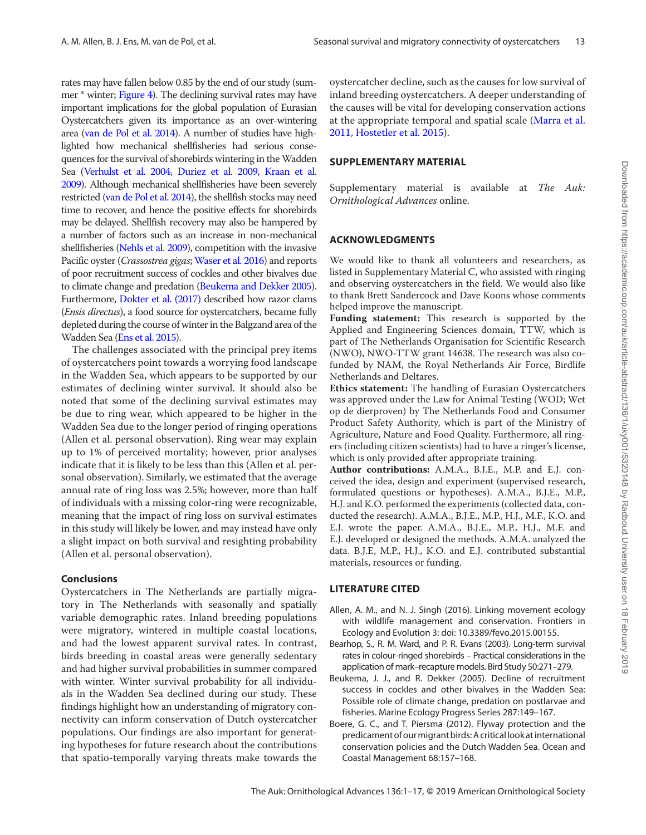rates may have fallen below 0.85 by the end of our study (summer \* winter; [Figure 4\)](#page-9-0). The declining survival rates may have important implications for the global population of Eurasian Oystercatchers given its importance as an over-wintering area [\(van de Pol et al. 2014\)](#page-14-13). A number of studies have highlighted how mechanical shellfisheries had serious consequences for the survival of shorebirds wintering in the Wadden Sea ([Verhulst et al. 2004,](#page-14-16) [Duriez et al. 2009](#page-13-13), [Kraan et al.](#page-13-22) [2009\)](#page-13-22). Although mechanical shellfisheries have been severely restricted [\(van de Pol et al. 2014](#page-14-13)), the shellfish stocks may need time to recover, and hence the positive effects for shorebirds may be delayed. Shellfish recovery may also be hampered by a number of factors such as an increase in non-mechanical shellfisheries [\(Nehls et al. 2009](#page-13-29)), competition with the invasive Pacific oyster (*Crassostrea gigas*; [Waser et al. 2016](#page-14-28)) and reports of poor recruitment success of cockles and other bivalves due to climate change and predation [\(Beukema and Dekker 2005](#page-12-3)). Furthermore, [Dokter et al. \(2017\)](#page-13-21) described how razor clams (*Ensis directus*), a food source for oystercatchers, became fully depleted during the course of winter in the Balgzand area of the Wadden Sea [\(Ens et al. 2015\)](#page-13-30).

The challenges associated with the principal prey items of oystercatchers point towards a worrying food landscape in the Wadden Sea, which appears to be supported by our estimates of declining winter survival. It should also be noted that some of the declining survival estimates may be due to ring wear, which appeared to be higher in the Wadden Sea due to the longer period of ringing operations (Allen et al. personal observation). Ring wear may explain up to 1% of perceived mortality; however, prior analyses indicate that it is likely to be less than this (Allen et al. personal observation). Similarly, we estimated that the average annual rate of ring loss was 2.5%; however, more than half of individuals with a missing color-ring were recognizable, meaning that the impact of ring loss on survival estimates in this study will likely be lower, and may instead have only a slight impact on both survival and resighting probability (Allen et al. personal observation).

## **Conclusions**

Oystercatchers in The Netherlands are partially migratory in The Netherlands with seasonally and spatially variable demographic rates. Inland breeding populations were migratory, wintered in multiple coastal locations, and had the lowest apparent survival rates. In contrast, birds breeding in coastal areas were generally sedentary and had higher survival probabilities in summer compared with winter. Winter survival probability for all individuals in the Wadden Sea declined during our study. These findings highlight how an understanding of migratory connectivity can inform conservation of Dutch oystercatcher populations. Our findings are also important for generating hypotheses for future research about the contributions that spatio-temporally varying threats make towards the

oystercatcher decline, such as the causes for low survival of inland breeding oystercatchers. A deeper understanding of the causes will be vital for developing conservation actions at the appropriate temporal and spatial scale ([Marra et al.](#page-13-31)  [2011,](#page-13-31) [Hostetler et al. 2015\)](#page-13-32).

# **SUPPLEMENTARY MATERIAL**

Supplementary material is available at *The Auk: Ornithological Advances* online.

# **ACKNOWLEDGMENTS**

We would like to thank all volunteers and researchers, as listed in Supplementary Material C, who assisted with ringing and observing oystercatchers in the field. We would also like to thank Brett Sandercock and Dave Koons whose comments helped improve the manuscript.

**Funding statement:** This research is supported by the Applied and Engineering Sciences domain, TTW, which is part of The Netherlands Organisation for Scientific Research (NWO), NWO-TTW grant 14638. The research was also cofunded by NAM, the Royal Netherlands Air Force, Birdlife Netherlands and Deltares.

**Ethics statement:** The handling of Eurasian Oystercatchers was approved under the Law for Animal Testing (WOD; Wet op de dierproven) by The Netherlands Food and Consumer Product Safety Authority, which is part of the Ministry of Agriculture, Nature and Food Quality. Furthermore, all ringers (including citizen scientists) had to have a ringer's license, which is only provided after appropriate training.

**Author contributions:** A.M.A., B.J.E., M.P. and E.J. conceived the idea, design and experiment (supervised research, formulated questions or hypotheses). A.M.A., B.J.E., M.P., H.J. and K.O. performed the experiments (collected data, conducted the research). A.M.A., B.J.E., M.P., H.J., M.F., K.O. and E.J. wrote the paper. A.M.A., B.J.E., M.P., H.J., M.F. and E.J. developed or designed the methods. A.M.A. analyzed the data. B.J.E, M.P., H.J., K.O. and E.J. contributed substantial materials, resources or funding.

## **LITERATURE CITED**

- <span id="page-12-0"></span>Allen, A. M., and N. J. Singh (2016). Linking movement ecology with wildlife management and conservation. Frontiers in Ecology and Evolution 3: doi: 10.3389/fevo.2015.00155.
- <span id="page-12-1"></span>Bearhop, S., R. M. Ward, and P. R. Evans (2003). Long-term survival rates in colour-ringed shorebirds – Practical considerations in the application of mark–recapture models. Bird Study 50:271–279.
- <span id="page-12-3"></span>Beukema, J. J., and R. Dekker (2005). Decline of recruitment success in cockles and other bivalves in the Wadden Sea: Possible role of climate change, predation on postlarvae and fisheries. Marine Ecology Progress Series 287:149–167.
- <span id="page-12-2"></span>Boere, G. C., and T. Piersma (2012). Flyway protection and the predicament of our migrant birds: A critical look at international conservation policies and the Dutch Wadden Sea. Ocean and Coastal Management 68:157–168.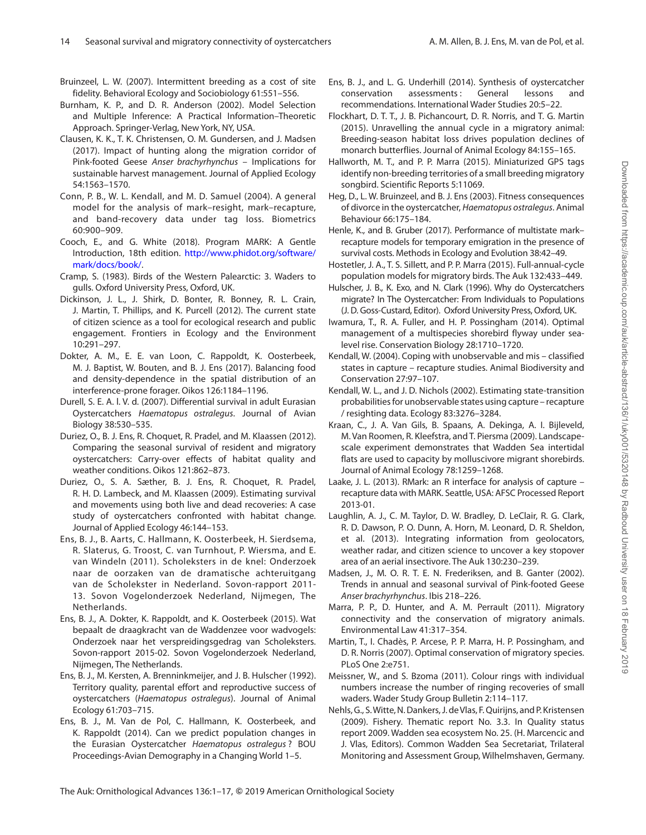- <span id="page-13-27"></span>Bruinzeel, L. W. (2007). Intermittent breeding as a cost of site fidelity. Behavioral Ecology and Sociobiology 61:551–556.
- <span id="page-13-20"></span>Burnham, K. P., and D. R. Anderson (2002). Model Selection and Multiple Inference: A Practical Information–Theoretic Approach. Springer-Verlag, New York, NY, USA.
- <span id="page-13-25"></span>Clausen, K. K., T. K. Christensen, O. M. Gundersen, and J. Madsen (2017). Impact of hunting along the migration corridor of Pink-footed Geese *Anser brachyrhynchus* – Implications for sustainable harvest management. Journal of Applied Ecology 54:1563–1570.
- <span id="page-13-28"></span>Conn, P. B., W. L. Kendall, and M. D. Samuel (2004). A general model for the analysis of mark–resight, mark–recapture, and band-recovery data under tag loss. Biometrics 60:900–909.
- <span id="page-13-19"></span>Cooch, E., and G. White (2018). Program MARK: A Gentle Introduction, 18th edition. [http://www.phidot.org/software/](http://www.phidot.org/software/mark/docs/book/) [mark/docs/book/](http://www.phidot.org/software/mark/docs/book/).
- <span id="page-13-14"></span>Cramp, S. (1983). Birds of the Western Palearctic: 3. Waders to gulls. Oxford University Press, Oxford, UK.
- <span id="page-13-6"></span>Dickinson, J. L., J. Shirk, D. Bonter, R. Bonney, R. L. Crain, J. Martin, T. Phillips, and K. Purcell (2012). The current state of citizen science as a tool for ecological research and public engagement. Frontiers in Ecology and the Environment 10:291–297.
- <span id="page-13-21"></span>Dokter, A. M., E. E. van Loon, C. Rappoldt, K. Oosterbeek, M. J. Baptist, W. Bouten, and B. J. Ens (2017). Balancing food and density-dependence in the spatial distribution of an interference-prone forager. Oikos 126:1184–1196.
- <span id="page-13-11"></span>Durell, S. E. A. l. V. d. (2007). Differential survival in adult Eurasian Oystercatchers *Haematopus ostralegus*. Journal of Avian Biology 38:530–535.
- <span id="page-13-12"></span>Duriez, O., B. J. Ens, R. Choquet, R. Pradel, and M. Klaassen (2012). Comparing the seasonal survival of resident and migratory oystercatchers: Carry-over effects of habitat quality and weather conditions. Oikos 121:862–873.
- <span id="page-13-13"></span>Duriez, O., S. A. Sæther, B. J. Ens, R. Choquet, R. Pradel, R. H. D. Lambeck, and M. Klaassen (2009). Estimating survival and movements using both live and dead recoveries: A case study of oystercatchers confronted with habitat change. Journal of Applied Ecology 46:144–153.
- <span id="page-13-10"></span>Ens, B. J., B. Aarts, C. Hallmann, K. Oosterbeek, H. Sierdsema, R. Slaterus, G. Troost, C. van Turnhout, P. Wiersma, and E. van Windeln (2011). Scholeksters in de knel: Onderzoek naar de oorzaken van de dramatische achteruitgang van de Scholekster in Nederland. Sovon-rapport 2011- 13. Sovon Vogelonderzoek Nederland, Nijmegen, The Netherlands.
- <span id="page-13-30"></span>Ens, B. J., A. Dokter, K. Rappoldt, and K. Oosterbeek (2015). Wat bepaalt de draagkracht van de Waddenzee voor wadvogels: Onderzoek naar het verspreidingsgedrag van Scholeksters. Sovon-rapport 2015-02. Sovon Vogelonderzoek Nederland, Nijmegen, The Netherlands.
- <span id="page-13-24"></span>Ens, B. J., M. Kersten, A. Brenninkmeijer, and J. B. Hulscher (1992). Territory quality, parental effort and reproductive success of oystercatchers (*Haematopus ostralegus*). Journal of Animal Ecology 61:703–715.
- <span id="page-13-23"></span>Ens, B. J., M. Van de Pol, C. Hallmann, K. Oosterbeek, and K. Rappoldt (2014). Can we predict population changes in the Eurasian Oystercatcher *Haematopus ostralegus* ? BOU Proceedings-Avian Demography in a Changing World 1–5.
- <span id="page-13-9"></span>Ens, B. J., and L. G. Underhill (2014). Synthesis of oystercatcher conservation assessments: General lessons and recommendations. International Wader Studies 20:5–22.
- <span id="page-13-2"></span>Flockhart, D. T. T., J. B. Pichancourt, D. R. Norris, and T. G. Martin (2015). Unravelling the annual cycle in a migratory animal: Breeding-season habitat loss drives population declines of monarch butterflies. Journal of Animal Ecology 84:155–165.
- <span id="page-13-4"></span>Hallworth, M. T., and P. P. Marra (2015). Miniaturized GPS tags identify non-breeding territories of a small breeding migratory songbird. Scientific Reports 5:11069.
- <span id="page-13-26"></span>Heg, D., L. W. Bruinzeel, and B. J. Ens (2003). Fitness consequences of divorce in the oystercatcher, *Haematopus ostralegus*. Animal Behaviour 66:175–184.
- <span id="page-13-17"></span>Henle, K., and B. Gruber (2017). Performance of multistate mark– recapture models for temporary emigration in the presence of survival costs. Methods in Ecology and Evolution 38:42–49.
- <span id="page-13-32"></span>Hostetler, J. A., T. S. Sillett, and P. P. Marra (2015). Full-annual-cycle population models for migratory birds. The Auk 132:433–449.
- <span id="page-13-8"></span>Hulscher, J. B., K. Exo, and N. Clark (1996). Why do Oystercatchers migrate? In The Oystercatcher: From Individuals to Populations (J. D. Goss-Custard, Editor). Oxford University Press, Oxford, UK.
- <span id="page-13-0"></span>Iwamura, T., R. A. Fuller, and H. P. Possingham (2014). Optimal management of a multispecies shorebird flyway under sealevel rise. Conservation Biology 28:1710–1720.
- <span id="page-13-16"></span>Kendall, W. (2004). Coping with unobservable and mis – classified states in capture – recapture studies. Animal Biodiversity and Conservation 27:97–107.
- <span id="page-13-15"></span>Kendall, W. L., and J. D. Nichols (2002). Estimating state-transition probabilities for unobservable states using capture – recapture / resighting data. Ecology 83:3276–3284.
- <span id="page-13-22"></span>Kraan, C., J. A. Van Gils, B. Spaans, A. Dekinga, A. I. Bijleveld, M. Van Roomen, R. Kleefstra, and T. Piersma (2009). Landscapescale experiment demonstrates that Wadden Sea intertidal flats are used to capacity by molluscivore migrant shorebirds. Journal of Animal Ecology 78:1259–1268.
- <span id="page-13-18"></span>Laake, J. L. (2013). RMark: an R interface for analysis of capture – recapture data with MARK. Seattle, USA: AFSC Processed Report 2013-01.
- <span id="page-13-3"></span>Laughlin, A. J., C. M. Taylor, D. W. Bradley, D. LeClair, R. G. Clark, R. D. Dawson, P. O. Dunn, A. Horn, M. Leonard, D. R. Sheldon, et al. (2013). Integrating information from geolocators, weather radar, and citizen science to uncover a key stopover area of an aerial insectivore. The Auk 130:230–239.
- <span id="page-13-7"></span>Madsen, J., M. O. R. T. E. N. Frederiksen, and B. Ganter (2002). Trends in annual and seasonal survival of Pink-footed Geese *Anser brachyrhynchus*. Ibis 218–226.
- <span id="page-13-31"></span>Marra, P. P., D. Hunter, and A. M. Perrault (2011). Migratory connectivity and the conservation of migratory animals. Environmental Law 41:317–354.
- <span id="page-13-1"></span>Martin, T., I. Chadès, P. Arcese, P. P. Marra, H. P. Possingham, and D. R. Norris (2007). Optimal conservation of migratory species. PLoS One 2:e751.
- <span id="page-13-5"></span>Meissner, W., and S. Bzoma (2011). Colour rings with individual numbers increase the number of ringing recoveries of small waders. Wader Study Group Bulletin 2:114–117.
- <span id="page-13-29"></span>Nehls,G., S.Witte, N.Dankers, J.deVlas, F.Quirijns, and P. Kristensen (2009). Fishery. Thematic report No. 3.3. In Quality status report 2009. Wadden sea ecosystem No. 25. (H. Marcencic and J. Vlas, Editors). Common Wadden Sea Secretariat, Trilateral Monitoring and Assessment Group, Wilhelmshaven, Germany.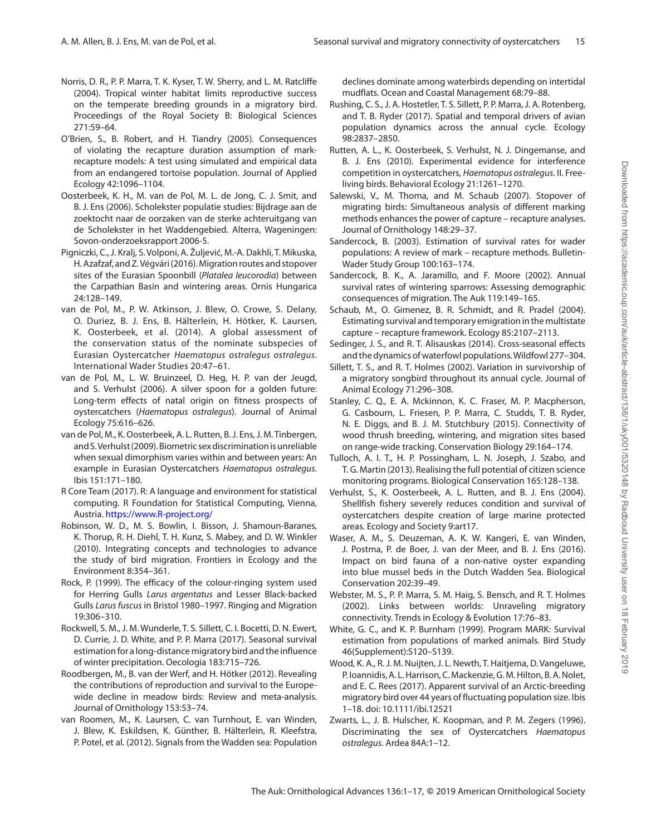- <span id="page-14-10"></span>Norris, D. R., P. P. Marra, T. K. Kyser, T. W. Sherry, and L. M. Ratcliffe (2004). Tropical winter habitat limits reproductive success on the temperate breeding grounds in a migratory bird. Proceedings of the Royal Society B: Biological Sciences 271:59–64.
- <span id="page-14-20"></span>O'Brien, S., B. Robert, and H. Tiandry (2005). Consequences of violating the recapture duration assumption of markrecapture models: A test using simulated and empirical data from an endangered tortoise population. Journal of Applied Ecology 42:1096–1104.
- <span id="page-14-17"></span>Oosterbeek, K. H., M. van de Pol, M. L. de Jong, C. J. Smit, and B. J. Ens (2006). Scholekster populatie studies: Bijdrage aan de zoektocht naar de oorzaken van de sterke achteruitgang van de Scholekster in het Waddengebied. Alterra, Wageningen: Sovon-onderzoeksrapport 2006-5.
- <span id="page-14-8"></span>Pigniczki, C., J. Kralj, S.Volponi, A. Žuljević, M.-A. Dakhli, T. Mikuska, H.Azafzaf, and Z.Végvári (2016). Migration routes and stopover sites of the Eurasian Spoonbill (*Platalea leucorodia*) between the Carpathian Basin and wintering areas. Ornis Hungarica 24:128–149.
- <span id="page-14-13"></span>van de Pol, M., P. W. Atkinson, J. Blew, O. Crowe, S. Delany, O. Duriez, B. J. Ens, B. Hälterlein, H. Hötker, K. Laursen, K. Oosterbeek, et al. (2014). A global assessment of the conservation status of the nominate subspecies of Eurasian Oystercatcher *Haematopus ostralegus ostralegus*. International Wader Studies 20:47–61.
- <span id="page-14-18"></span>van de Pol, M., L. W. Bruinzeel, D. Heg, H. P. van der Jeugd, and S. Verhulst (2006). A silver spoon for a golden future: Long-term effects of natal origin on fitness prospects of oystercatchers (*Haematopus ostralegus*). Journal of Animal Ecology 75:616–626.
- <span id="page-14-15"></span>van de Pol, M., K.Oosterbeek, A. L. Rutten, B.J. Ens, J. M. Tinbergen, and S.Verhulst (2009). Biometric sex discrimination is unreliable when sexual dimorphism varies within and between years: An example in Eurasian Oystercatchers *Haematopus ostralegus*. Ibis 151:171–180.
- <span id="page-14-23"></span>R Core Team (2017). R: A language and environment for statistical computing. R Foundation for Statistical Computing, Vienna, Austria. [https://www.R-project.org/](https://www.R-project.org/﻿)
- <span id="page-14-24"></span>Robinson, W. D., M. S. Bowlin, I. Bisson, J. Shamoun-Baranes, K. Thorup, R. H. Diehl, T. H. Kunz, S. Mabey, and D. W. Winkler (2010). Integrating concepts and technologies to advance the study of bird migration. Frontiers in Ecology and the Environment 8:354–361.
- <span id="page-14-5"></span>Rock, P. (1999). The efficacy of the colour-ringing system used for Herring Gulls *Larus argentatus* and Lesser Black-backed Gulls *Larus fuscus* in Bristol 1980–1997. Ringing and Migration 19:306–310.
- <span id="page-14-3"></span>Rockwell, S. M., J. M. Wunderle, T. S. Sillett, C. I. Bocetti, D. N. Ewert, D. Currie, J. D. White, and P. P. Marra (2017). Seasonal survival estimation for a long-distance migratory bird and the influence of winter precipitation. Oecologia 183:715–726.
- <span id="page-14-12"></span>Roodbergen, M., B. van der Werf, and H. Hötker (2012). Revealing the contributions of reproduction and survival to the Europewide decline in meadow birds: Review and meta-analysis. Journal of Ornithology 153:53–74.
- <span id="page-14-25"></span>van Roomen, M., K. Laursen, C. van Turnhout, E. van Winden, J. Blew, K. Eskildsen, K. Günther, B. Hälterlein, R. Kleefstra, P. Potel, et al. (2012). Signals from the Wadden sea: Population

declines dominate among waterbirds depending on intertidal mudflats. Ocean and Coastal Management 68:79–88.

- <span id="page-14-4"></span>Rushing, C. S., J. A. Hostetler, T. S. Sillett, P. P. Marra, J. A. Rotenberg, and T. B. Ryder (2017). Spatial and temporal drivers of avian population dynamics across the annual cycle. Ecology 98:2837–2850.
- <span id="page-14-19"></span>Rutten, A. L., K. Oosterbeek, S. Verhulst, N. J. Dingemanse, and B. J. Ens (2010). Experimental evidence for interference competition in oystercatchers, *Haematopus ostralegus*. II. Freeliving birds. Behavioral Ecology 21:1261–1270.
- <span id="page-14-6"></span>Salewski, V., M. Thoma, and M. Schaub (2007). Stopover of migrating birds: Simultaneous analysis of different marking methods enhances the power of capture – recapture analyses. Journal of Ornithology 148:29–37.
- <span id="page-14-27"></span>Sandercock, B. (2003). Estimation of survival rates for wader populations: A review of mark – recapture methods. Bulletin-Wader Study Group 100:163–174.
- <span id="page-14-26"></span>Sandercock, B. K., A. Jaramillo, and F. Moore (2002). Annual survival rates of wintering sparrows: Assessing demographic consequences of migration. The Auk 119:149–165.
- <span id="page-14-21"></span>Schaub, M., O. Gimenez, B. R. Schmidt, and R. Pradel (2004). Estimating survival and temporary emigration in the multistate capture – recapture framework. Ecology 85:2107–2113.
- <span id="page-14-11"></span>Sedinger, J. S., and R. T. Alisauskas (2014). Cross-seasonal effects and the dynamics of waterfowl populations. Wildfowl 277–304.
- <span id="page-14-2"></span>Sillett, T. S., and R. T. Holmes (2002). Variation in survivorship of a migratory songbird throughout its annual cycle. Journal of Animal Ecology 71:296–308.
- <span id="page-14-1"></span>Stanley, C. Q., E. A. Mckinnon, K. C. Fraser, M. P. Macpherson, G. Casbourn, L. Friesen, P. P. Marra, C. Studds, T. B. Ryder, N. E. Diggs, and B. J. M. Stutchbury (2015). Connectivity of wood thrush breeding, wintering, and migration sites based on range-wide tracking. Conservation Biology 29:164–174.
- <span id="page-14-7"></span>Tulloch, A. I. T., H. P. Possingham, L. N. Joseph, J. Szabo, and T. G. Martin (2013). Realising the full potential of citizen science monitoring programs. Biological Conservation 165:128–138.
- <span id="page-14-16"></span>Verhulst, S., K. Oosterbeek, A. L. Rutten, and B. J. Ens (2004). Shellfish fishery severely reduces condition and survival of oystercatchers despite creation of large marine protected areas. Ecology and Society 9:art17.
- <span id="page-14-28"></span>Waser, A. M., S. Deuzeman, A. K. W. Kangeri, E. van Winden, J. Postma, P. de Boer, J. van der Meer, and B. J. Ens (2016). Impact on bird fauna of a non-native oyster expanding into blue mussel beds in the Dutch Wadden Sea. Biological Conservation 202:39–49.
- <span id="page-14-0"></span>Webster, M. S., P. P. Marra, S. M. Haig, S. Bensch, and R. T. Holmes (2002). Links between worlds: Unraveling migratory connectivity. Trends in Ecology & Evolution 17:76–83.
- <span id="page-14-22"></span>White, G. C., and K. P. Burnham (1999). Program MARK: Survival estimation from populations of marked animals. Bird Study 46(Supplement):S120–S139.
- <span id="page-14-9"></span>Wood, K. A., R. J. M. Nuijten, J. L. Newth, T. Haitjema, D. Vangeluwe, P. Ioannidis, A. L.Harrison, C. Mackenzie, G. M.Hilton, B.A.Nolet, and E. C. Rees (2017). Apparent survival of an Arctic-breeding migratory bird over 44 years of fluctuating population size. Ibis 1–18. doi: 10.1111/ibi.12521
- <span id="page-14-14"></span>Zwarts, L., J. B. Hulscher, K. Koopman, and P. M. Zegers (1996). Discriminating the sex of Oystercatchers *Haematopus ostralegus*. Ardea 84A:1–12.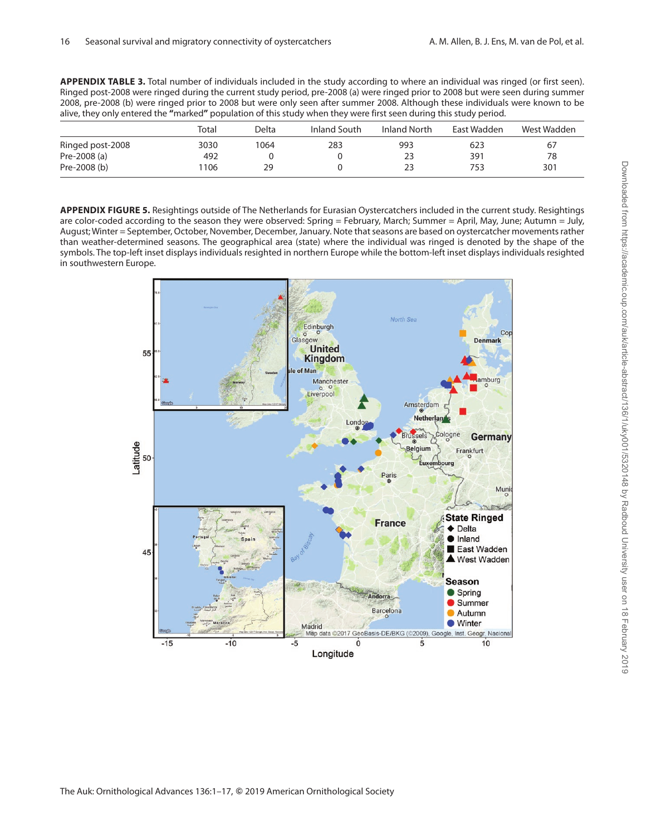<span id="page-15-0"></span>**APPENDIX TABLE 3.** Total number of individuals included in the study according to where an individual was ringed (or first seen). Ringed post-2008 were ringed during the current study period, pre-2008 (a) were ringed prior to 2008 but were seen during summer 2008, pre-2008 (b) were ringed prior to 2008 but were only seen after summer 2008. Although these individuals were known to be alive, they only entered the **"**marked**"** population of this study when they were first seen during this study period.

|                  | Total | Delta | Inland South | Inland North | East Wadden | West Wadden |
|------------------|-------|-------|--------------|--------------|-------------|-------------|
| Ringed post-2008 | 3030  | 1064  | 283          | 993          | 623         | 67          |
| Pre-2008 (a)     | 492   |       |              | 23           | 391         | 78          |
| Pre-2008 (b)     | 1106  | 29    |              | 23           | 753         | 301         |

<span id="page-15-1"></span>**APPENDIX FIGURE 5.** Resightings outside of The Netherlands for Eurasian Oystercatchers included in the current study. Resightings are color-coded according to the season they were observed: Spring = February, March; Summer = April, May, June; Autumn = July, August; Winter = September, October, November, December, January. Note that seasons are based on oystercatcher movements rather than weather-determined seasons. The geographical area (state) where the individual was ringed is denoted by the shape of the symbols. The top-left inset displays individuals resighted in northern Europe while the bottom-left inset displays individuals resighted in southwestern Europe.